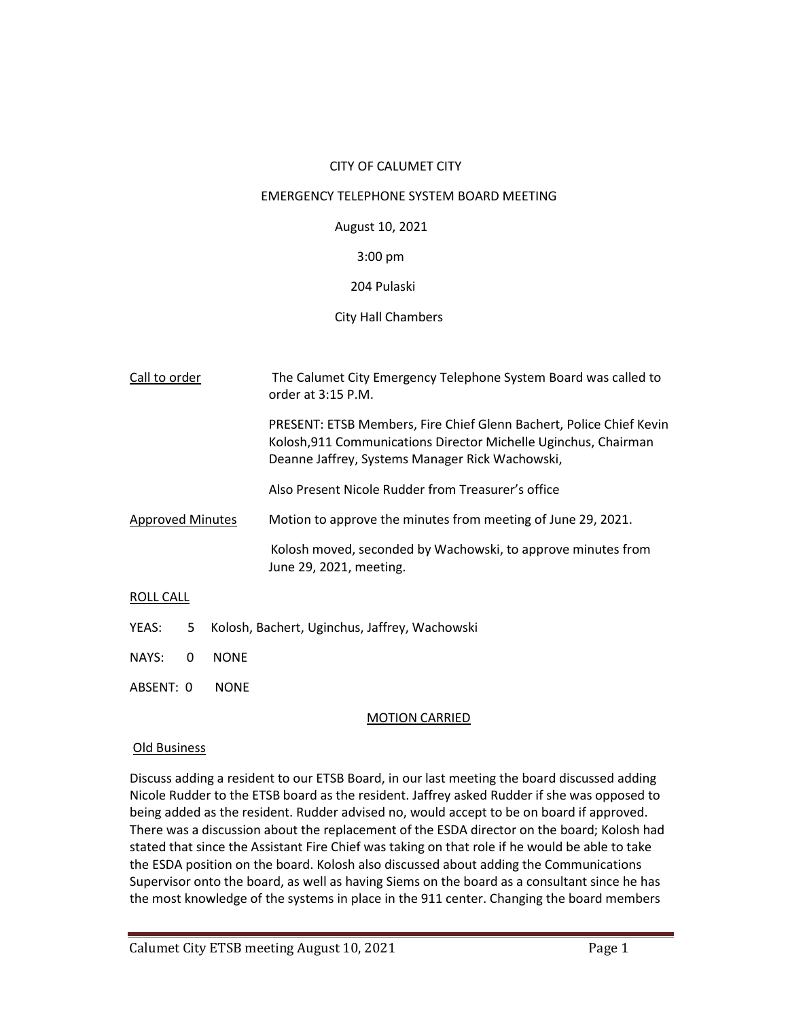## CITY OF CALUMET CITY

### EMERGENCY TELEPHONE SYSTEM BOARD MEETING

## August 10, 2021

## 3:00 pm

# 204 Pulaski

# City Hall Chambers

| Call to order           | The Calumet City Emergency Telephone System Board was called to<br>order at 3:15 P.M.                                                                                                     |
|-------------------------|-------------------------------------------------------------------------------------------------------------------------------------------------------------------------------------------|
|                         | PRESENT: ETSB Members, Fire Chief Glenn Bachert, Police Chief Kevin<br>Kolosh, 911 Communications Director Michelle Uginchus, Chairman<br>Deanne Jaffrey, Systems Manager Rick Wachowski, |
|                         | Also Present Nicole Rudder from Treasurer's office                                                                                                                                        |
| <b>Approved Minutes</b> | Motion to approve the minutes from meeting of June 29, 2021.                                                                                                                              |
|                         | Kolosh moved, seconded by Wachowski, to approve minutes from<br>June 29, 2021, meeting.                                                                                                   |

## ROLL CALL

- YEAS: 5 Kolosh, Bachert, Uginchus, Jaffrey, Wachowski
- NAYS: 0 NONE
- ABSENT: 0 NONE

## MOTION CARRIED

## Old Business

Discuss adding a resident to our ETSB Board, in our last meeting the board discussed adding Nicole Rudder to the ETSB board as the resident. Jaffrey asked Rudder if she was opposed to being added as the resident. Rudder advised no, would accept to be on board if approved. There was a discussion about the replacement of the ESDA director on the board; Kolosh had stated that since the Assistant Fire Chief was taking on that role if he would be able to take the ESDA position on the board. Kolosh also discussed about adding the Communications Supervisor onto the board, as well as having Siems on the board as a consultant since he has the most knowledge of the systems in place in the 911 center. Changing the board members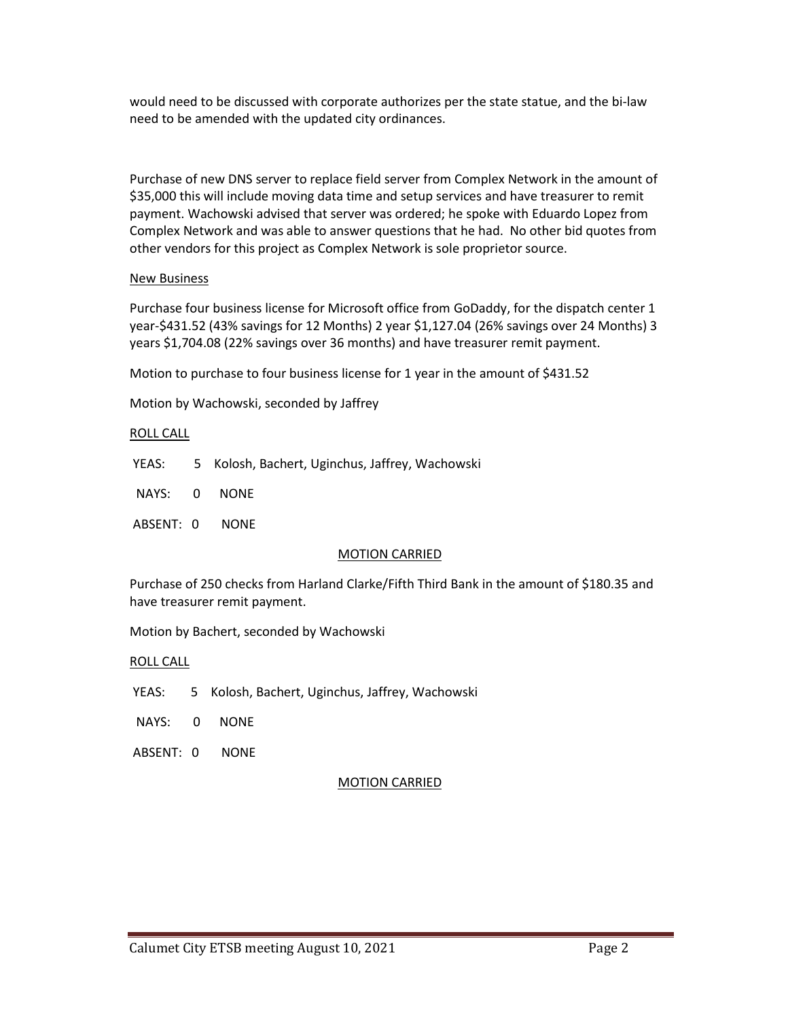would need to be discussed with corporate authorizes per the state statue, and the bi-law need to be amended with the updated city ordinances.

Purchase of new DNS server to replace field server from Complex Network in the amount of \$35,000 this will include moving data time and setup services and have treasurer to remit payment. Wachowski advised that server was ordered; he spoke with Eduardo Lopez from Complex Network and was able to answer questions that he had. No other bid quotes from other vendors for this project as Complex Network is sole proprietor source.

# New Business

Purchase four business license for Microsoft office from GoDaddy, for the dispatch center 1 year-\$431.52 (43% savings for 12 Months) 2 year \$1,127.04 (26% savings over 24 Months) 3 years \$1,704.08 (22% savings over 36 months) and have treasurer remit payment.

Motion to purchase to four business license for 1 year in the amount of \$431.52

Motion by Wachowski, seconded by Jaffrey

## ROLL CALL

YEAS: 5 Kolosh, Bachert, Uginchus, Jaffrey, Wachowski

NAYS: 0 NONE

ABSENT: 0 NONE

## MOTION CARRIED

Purchase of 250 checks from Harland Clarke/Fifth Third Bank in the amount of \$180.35 and have treasurer remit payment.

Motion by Bachert, seconded by Wachowski

ROLL CALL

YEAS: 5 Kolosh, Bachert, Uginchus, Jaffrey, Wachowski

- NAYS: 0 NONE
- ABSENT: 0 NONE

## MOTION CARRIED